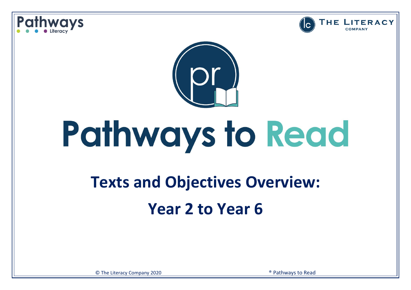





# Pathways to Read

### **Texts and Objectives Overview: Year 2 to Year 6**

© The Literacy Company 2020 ® Pathways to Read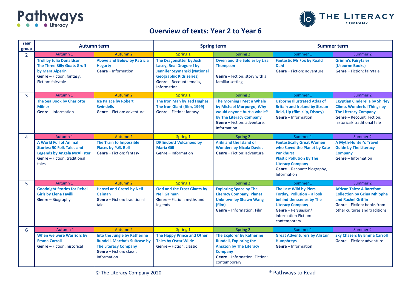



#### **Overview of texts: Year 2 to Year 6**

| Year<br>group  | <b>Autumn term</b>                                                                                                                                        |                                                                                                                                                              |                                                                                                                                                                  | <b>Spring term</b>                                                                                                                                                    | <b>Summer term</b>                                                                                                                                                                               |                                                                                                                                                                        |
|----------------|-----------------------------------------------------------------------------------------------------------------------------------------------------------|--------------------------------------------------------------------------------------------------------------------------------------------------------------|------------------------------------------------------------------------------------------------------------------------------------------------------------------|-----------------------------------------------------------------------------------------------------------------------------------------------------------------------|--------------------------------------------------------------------------------------------------------------------------------------------------------------------------------------------------|------------------------------------------------------------------------------------------------------------------------------------------------------------------------|
| $\overline{2}$ | Autumn 1                                                                                                                                                  | Autumn <sub>2</sub>                                                                                                                                          | <b>Spring 1</b>                                                                                                                                                  | Spring 2                                                                                                                                                              | Summer 1                                                                                                                                                                                         | Summer 2                                                                                                                                                               |
|                | <b>Troll by Julia Donaldson</b><br><b>The Three Billy Goats Gruff</b><br>by Mara Alperin<br>Genre - Fiction: fantasy,<br>Fiction: fairytale               | <b>Above and Below by Patricia</b><br><b>Hegarty</b><br><b>Genre</b> - Information                                                                           | The Dragonsitter by Josh<br>Lacey, Real Dragons! by<br>Jennifer Szymanski (National<br><b>Geographic Kids series)</b><br>Genre - Recount: emails,<br>Information | Owen and the Soldier by Lisa<br><b>Thompson</b><br>Genre - Fiction: story with a<br>familiar setting                                                                  | <b>Fantastic Mr Fox by Roald</b><br><b>Dahl</b><br><b>Genre</b> - Fiction: adventure                                                                                                             | <b>Grimm's Fairytales</b><br>(Usborne Books)<br>Genre - Fiction: fairytale                                                                                             |
| 3              | Autumn 1                                                                                                                                                  | Autumn <sub>2</sub>                                                                                                                                          | <b>Spring 1</b>                                                                                                                                                  | Spring 2                                                                                                                                                              | Summer 1                                                                                                                                                                                         | Summer 2                                                                                                                                                               |
|                | The Sea Book by Charlotte<br><b>Milner</b><br>Genre - Information                                                                                         | <b>Ice Palace by Robert</b><br><b>Swindells</b><br><b>Genre</b> - Fiction: adventure                                                                         | The Iron Man by Ted Hughes,<br>The Iron Giant (film, 1999)<br><b>Genre</b> - Fiction: fantasy                                                                    | The Morning I Met a Whale<br>by Michael Morpurgo, Why<br>would anyone hurt a whale?<br>by The Literacy Company<br>Genre - Fiction: adventure,<br><b>Information</b>   | <b>Usborne Illustrated Atlas of</b><br><b>Britain and Ireland by Struan</b><br><b>Reid, Up (film clip, Disney)</b><br>Genre - Information                                                        | <b>Egyptian Cinderella by Shirley</b><br><b>Climo, Wonderful Things by</b><br><b>The Literacy Company</b><br>Genre - Recount, Fiction:<br>historical/ traditional tale |
| 4              | Autumn 1                                                                                                                                                  | Autumn <sub>2</sub>                                                                                                                                          | Spring 1                                                                                                                                                         | Spring 2                                                                                                                                                              | Summer 1                                                                                                                                                                                         | Summer 2                                                                                                                                                               |
|                | <b>A World Full of Animal</b><br><b>Stories: 50 Folk Tales and</b><br><b>Legends by Angela McAllister</b><br><b>Genre</b> - Fiction: traditional<br>tales | The Train to Impossible<br><b>Places by P.G. Bell</b><br>Genre - Fiction: fantasy                                                                            | <b>DKfindout! Volcanoes by</b><br><b>Maria Gill</b><br><b>Genre</b> – Information                                                                                | Ariki and the Island of<br><b>Wonders by Nicola Davies</b><br><b>Genre</b> - Fiction: adventure                                                                       | <b>Fantastically Great Women</b><br>who Saved the Planet by Kate<br><b>Pankhurst</b><br><b>Plastic Pollution by The</b><br><b>Literacy Company</b><br>Genre - Recount: biography,<br>Information | <b>A Myth-Hunter's Travel</b><br><b>Guide by The Literacy</b><br><b>Company</b><br>Genre - Information                                                                 |
| 5              | Autumn 1                                                                                                                                                  | Autumn 2                                                                                                                                                     | Spring 1                                                                                                                                                         | Spring 2                                                                                                                                                              | Summer 1                                                                                                                                                                                         | Summer 2                                                                                                                                                               |
|                | <b>Goodnight Stories for Rebel</b><br><b>Girls by Elena Favilli</b><br>Genre - Biography                                                                  | <b>Hansel and Gretel by Neil</b><br><b>Gaiman</b><br><b>Genre</b> - Fiction: traditional<br>tale                                                             | <b>Odd and the Frost Giants by</b><br><b>Neil Gaiman</b><br>Genre - Fiction: myths and<br>legends                                                                | <b>Exploring Space by The</b><br><b>Literacy Company, Planet</b><br><b>Unknown by Shawn Wang</b><br>(film)<br>Genre - Information, Film                               | <b>The Last Wild by Piers</b><br>Torday, Pollution - a look<br>behind the scenes by The<br><b>Literacy Company</b><br>Genre - Persuasion/<br>information Fiction:<br>contemporary                | <b>African Tales: A Barefoot</b><br><b>Collection by Gcina Mhlophe</b><br>and Rachel Griffin<br><b>Genre</b> – Fiction: books from<br>other cultures and traditions    |
| 6              | Autumn 1                                                                                                                                                  | Autumn <sub>2</sub>                                                                                                                                          | Spring 1                                                                                                                                                         | Spring 2                                                                                                                                                              | Summer 1                                                                                                                                                                                         | Summer 2                                                                                                                                                               |
|                | <b>When we were Warriors by</b><br><b>Emma Carroll</b><br><b>Genre</b> – Fiction: historical                                                              | Into the Jungle by Katherine<br><b>Rundell, Martha's Suitcase by</b><br><b>The Literacy Company</b><br><b>Genre</b> - Fiction: classic<br><b>Information</b> | <b>The Happy Prince and Other</b><br><b>Tales by Oscar Wilde</b><br><b>Genre - Fiction: classic</b>                                                              | <b>The Explorer by Katherine</b><br><b>Rundell, Exploring the</b><br><b>Amazon by The Literacy</b><br><b>Company</b><br>Genre - Information, Fiction:<br>contemporary | <b>Great Adventurers by Alistair</b><br><b>Humphreys</b><br><b>Genre</b> – Information                                                                                                           | <b>Sky Chasers by Emma Carroll</b><br><b>Genre</b> - Fiction: adventure                                                                                                |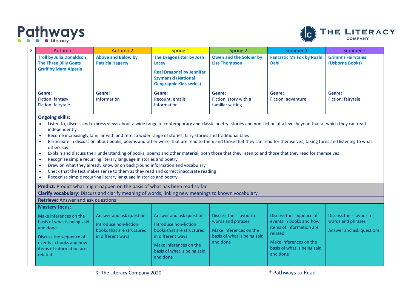



| Autumn 1                                         | Autumn 2                | Spring 1                                                                                         | Spring 2                                            | Summer 1                         | Summer 2                     |
|--------------------------------------------------|-------------------------|--------------------------------------------------------------------------------------------------|-----------------------------------------------------|----------------------------------|------------------------------|
| <b>Troll by Julia Donaldson</b>                  | Above and Below by      | The Dragonsitter by Josh                                                                         | Owen and the Soldier by                             | <b>Fantastic Mr Fox by Roald</b> | <b>Grimm's Fairytales</b>    |
| <b>The Three Billy Goats</b>                     | <b>Patricia Hegarty</b> | Lacey                                                                                            | <b>Lisa Thompson</b>                                | <b>Dahl</b>                      | (Usborne Books)              |
| <b>Gruff by Mara Alperin</b>                     |                         | <b>Real Dragons! by Jennifer</b><br><b>Szymanski (National</b><br><b>Geographic Kids series)</b> |                                                     |                                  |                              |
| Genre:<br>Fiction: fantasy<br>Fiction: fairytale | Genre:<br>Information   | Genre:<br>Recount: emails<br><b>Information</b>                                                  | Genre:<br>Fiction: story with a<br>familiar setting | Genre:<br>Fiction: adventure     | Genre:<br>Fiction: fairytale |

#### **Ongoing skills:**

- Listen to, discuss and express views about a wide range of contemporary and classic poetry, stories and non-fiction at a level beyond that at which they can read independently
- Become increasingly familiar with and retell a wider range of stories, fairy stories and traditional tales
- Participate in discussion about books, poems and other works that are read to them and those that they can read for themselves, taking turns and listening to what others say
- Explain and discuss their understanding of books, poems and other material, both those that they listen to and those that they read for themselves
- Recognise simple recurring literary language in stories and poetry
- Draw on what they already know or on background information and vocabulary
- Check that the text makes sense to them as they read and correct inaccurate reading
- Recognise simple recurring literary language in stories and poetry

**Predict:** Predict what might happen on the basis of what has been read so far

**Clarify vocabulary:** Discuss and clarify meaning of words, linking new meanings to known vocabulary

#### **Retrieve:** Answer and ask questions

| <b>Mastery focus:</b>                                                                                                                                          |                                                                                                     |                                                                                                                                                                          |                                                                                                                   |                                                                                                                                                                |                                                                          |
|----------------------------------------------------------------------------------------------------------------------------------------------------------------|-----------------------------------------------------------------------------------------------------|--------------------------------------------------------------------------------------------------------------------------------------------------------------------------|-------------------------------------------------------------------------------------------------------------------|----------------------------------------------------------------------------------------------------------------------------------------------------------------|--------------------------------------------------------------------------|
| Make inferences on the<br>basis of what is being said<br>and done<br>Discuss the sequence of<br>events in books and how<br>items of information are<br>related | Answer and ask questions<br>Introduce non-fiction<br>books that are structured<br>in different ways | Answer and ask questions<br>Introduce non-fiction<br>books that are structured<br>in different ways<br>Make inferences on the<br>basis of what is being said<br>and done | Discuss their favourite<br>words and phrases<br>Make inferences on the<br>basis of what is being said<br>and done | Discuss the sequence of<br>events in books and how<br>items of information are<br>related<br>Make inferences on the<br>basis of what is being said<br>and done | Discuss their favourite<br>words and phrases<br>Answer and ask questions |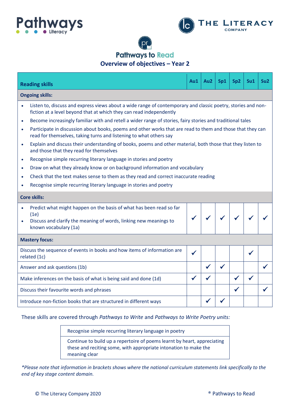



### **Pathways to Read Overview of objectives – Year 2**

|                                                                  | <b>Reading skills</b>                                                                                                                                                               | Au1          | Au2 | Sp1          | Sp <sub>2</sub> | S <sub>u1</sub> | Su2 |  |  |
|------------------------------------------------------------------|-------------------------------------------------------------------------------------------------------------------------------------------------------------------------------------|--------------|-----|--------------|-----------------|-----------------|-----|--|--|
|                                                                  | <b>Ongoing skills:</b>                                                                                                                                                              |              |     |              |                 |                 |     |  |  |
|                                                                  | Listen to, discuss and express views about a wide range of contemporary and classic poetry, stories and non-<br>fiction at a level beyond that at which they can read independently |              |     |              |                 |                 |     |  |  |
|                                                                  | Become increasingly familiar with and retell a wider range of stories, fairy stories and traditional tales                                                                          |              |     |              |                 |                 |     |  |  |
| $\bullet$                                                        | Participate in discussion about books, poems and other works that are read to them and those that they can<br>read for themselves, taking turns and listening to what others say    |              |     |              |                 |                 |     |  |  |
| $\bullet$                                                        | Explain and discuss their understanding of books, poems and other material, both those that they listen to<br>and those that they read for themselves                               |              |     |              |                 |                 |     |  |  |
| $\bullet$                                                        | Recognise simple recurring literary language in stories and poetry                                                                                                                  |              |     |              |                 |                 |     |  |  |
| ٠                                                                | Draw on what they already know or on background information and vocabulary                                                                                                          |              |     |              |                 |                 |     |  |  |
| $\bullet$                                                        | Check that the text makes sense to them as they read and correct inaccurate reading                                                                                                 |              |     |              |                 |                 |     |  |  |
|                                                                  | Recognise simple recurring literary language in stories and poetry                                                                                                                  |              |     |              |                 |                 |     |  |  |
|                                                                  | <b>Core skills:</b>                                                                                                                                                                 |              |     |              |                 |                 |     |  |  |
|                                                                  | Predict what might happen on the basis of what has been read so far<br>(1e)<br>Discuss and clarify the meaning of words, linking new meanings to<br>known vocabulary (1a)           |              |     |              |                 |                 |     |  |  |
|                                                                  | <b>Mastery focus:</b>                                                                                                                                                               |              |     |              |                 |                 |     |  |  |
|                                                                  | Discuss the sequence of events in books and how items of information are<br>related (1c)                                                                                            | $\checkmark$ |     |              |                 |                 |     |  |  |
|                                                                  | Answer and ask questions (1b)                                                                                                                                                       |              |     | $\checkmark$ |                 |                 |     |  |  |
| Make inferences on the basis of what is being said and done (1d) |                                                                                                                                                                                     |              |     |              |                 |                 |     |  |  |
|                                                                  | Discuss their favourite words and phrases                                                                                                                                           |              |     |              |                 |                 |     |  |  |
|                                                                  | Introduce non-fiction books that are structured in different ways                                                                                                                   |              |     |              |                 |                 |     |  |  |

#### These skills are covered through *Pathways to Write* and *Pathways to Write Poetry units:*

Recognise simple recurring literary language in poetry Continue to build up a repertoire of poems learnt by heart, appreciating these and reciting some, with appropriate intonation to make the meaning clear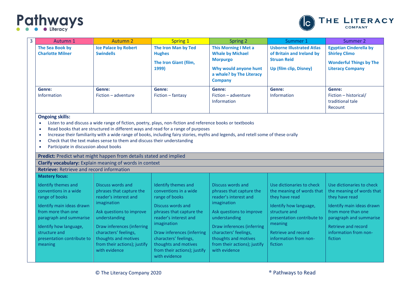

| 3 | Autumn 1                                                                                                                                                                                                                                                                                                                                                                                                                                                                                                                                                                                         | <b>Autumn 2</b>                                                                                                                                                                                                                                                    | <b>Spring 1</b>                                                                                                                                                                                                                                                                         | <b>Spring 2</b>                                                                                                                                                                                                                                                    | Summer 1                                                                                                                                                                                                                | Summer 2                                                                                                                                                                                                          |  |  |  |  |
|---|--------------------------------------------------------------------------------------------------------------------------------------------------------------------------------------------------------------------------------------------------------------------------------------------------------------------------------------------------------------------------------------------------------------------------------------------------------------------------------------------------------------------------------------------------------------------------------------------------|--------------------------------------------------------------------------------------------------------------------------------------------------------------------------------------------------------------------------------------------------------------------|-----------------------------------------------------------------------------------------------------------------------------------------------------------------------------------------------------------------------------------------------------------------------------------------|--------------------------------------------------------------------------------------------------------------------------------------------------------------------------------------------------------------------------------------------------------------------|-------------------------------------------------------------------------------------------------------------------------------------------------------------------------------------------------------------------------|-------------------------------------------------------------------------------------------------------------------------------------------------------------------------------------------------------------------|--|--|--|--|
|   | The Sea Book by<br><b>Charlotte Milner</b>                                                                                                                                                                                                                                                                                                                                                                                                                                                                                                                                                       | <b>Ice Palace by Robert</b><br><b>Swindells</b>                                                                                                                                                                                                                    | The Iron Man by Ted<br><b>Hughes</b><br>The Iron Giant (film,<br>1999)                                                                                                                                                                                                                  | <b>This Morning I Met a</b><br><b>Whale by Michael</b><br><b>Morpurgo</b><br>Why would anyone hunt<br>a whale? by The Literacy<br><b>Company</b>                                                                                                                   | <b>Usborne Illustrated Atlas</b><br>of Britain and Ireland by<br><b>Struan Reid</b><br>Up (film clip, Disney)                                                                                                           | <b>Egyptian Cinderella by</b><br><b>Shirley Climo</b><br><b>Wonderful Things by The</b><br><b>Literacy Company</b>                                                                                                |  |  |  |  |
|   | Genre:<br>Information                                                                                                                                                                                                                                                                                                                                                                                                                                                                                                                                                                            | Genre:<br>Fiction - adventure                                                                                                                                                                                                                                      | Genre:<br>Fiction - fantasy                                                                                                                                                                                                                                                             | Genre:<br>Fiction - adventure<br>Information                                                                                                                                                                                                                       | Genre:<br>Information                                                                                                                                                                                                   | Genre:<br>Fiction - historical/<br>traditional tale<br>Recount                                                                                                                                                    |  |  |  |  |
|   | <b>Ongoing skills:</b><br>Listen to and discuss a wide range of fiction, poetry, plays, non-fiction and reference books or textbooks<br>Read books that are structured in different ways and read for a range of purposes<br>$\bullet$<br>Increase their familiarity with a wide range of books, including fairy stories, myths and legends, and retell some of these orally<br>Check that the text makes sense to them and discuss their understanding<br>$\bullet$<br>Participate in discussion about books<br>$\bullet$<br>Predict: Predict what might happen from details stated and implied |                                                                                                                                                                                                                                                                    |                                                                                                                                                                                                                                                                                         |                                                                                                                                                                                                                                                                    |                                                                                                                                                                                                                         |                                                                                                                                                                                                                   |  |  |  |  |
|   | <b>Retrieve:</b> Retrieve and record information                                                                                                                                                                                                                                                                                                                                                                                                                                                                                                                                                 | Clarify vocabulary: Explain meaning of words in context                                                                                                                                                                                                            |                                                                                                                                                                                                                                                                                         |                                                                                                                                                                                                                                                                    |                                                                                                                                                                                                                         |                                                                                                                                                                                                                   |  |  |  |  |
|   | <b>Mastery focus:</b>                                                                                                                                                                                                                                                                                                                                                                                                                                                                                                                                                                            |                                                                                                                                                                                                                                                                    |                                                                                                                                                                                                                                                                                         |                                                                                                                                                                                                                                                                    |                                                                                                                                                                                                                         |                                                                                                                                                                                                                   |  |  |  |  |
|   | Identify themes and<br>conventions in a wide<br>range of books<br>Identify main ideas drawn<br>from more than one<br>paragraph and summarise<br>Identify how language,<br>structure and<br>presentation contribute to<br>meaning                                                                                                                                                                                                                                                                                                                                                                 | Discuss words and<br>phrases that capture the<br>reader's interest and<br>imagination<br>Ask questions to improve<br>understanding<br>Draw inferences (inferring<br>characters' feelings,<br>thoughts and motives<br>from their actions); justify<br>with evidence | Identify themes and<br>conventions in a wide<br>range of books<br>Discuss words and<br>phrases that capture the<br>reader's interest and<br>imagination<br>Draw inferences (inferring<br>characters' feelings,<br>thoughts and motives<br>from their actions); justify<br>with evidence | Discuss words and<br>phrases that capture the<br>reader's interest and<br>imagination<br>Ask questions to improve<br>understanding<br>Draw inferences (inferring<br>characters' feelings,<br>thoughts and motives<br>from their actions); justify<br>with evidence | Use dictionaries to check<br>the meaning of words that<br>they have read<br>Identify how language,<br>structure and<br>presentation contribute to<br>meaning<br>Retrieve and record<br>information from non-<br>fiction | Use dictionaries to check<br>the meaning of words that<br>they have read<br>Identify main ideas drawn<br>from more than one<br>paragraph and summarise<br>Retrieve and record<br>information from non-<br>fiction |  |  |  |  |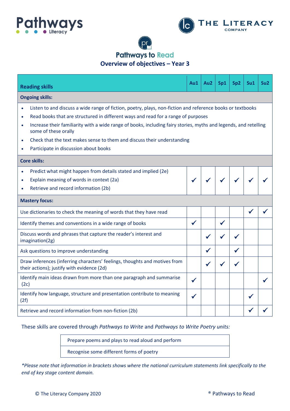



### **Pathways to Read Overview of objectives – Year 3**

**Reading skills Au1 Au2 Sp1 Sp2 Su1 Su2 Ongoing skills:** • Listen to and discuss a wide range of fiction, poetry, plays, non-fiction and reference books or textbooks • Read books that are structured in different ways and read for a range of purposes • Increase their familiarity with a wide range of books, including fairy stories, myths and legends, and retelling some of these orally • Check that the text makes sense to them and discuss their understanding • Participate in discussion about books **Core skills:** • Predict what might happen from details stated and implied (2e) • Explain meaning of words in context (2a) • Retrieve and record information (2b) ✓ ✓ ✓ ✓ ✓ ✓ **Mastery focus:** Use dictionaries to check the meaning of words that they have read  $\Box$ Identify themes and conventions in a wide range of books  $\vert \checkmark \vert \checkmark$ Discuss words and phrases that capture the reader's interest and  $\bigcup_{i=1}^n$   $\bigcup_{i=1}^n$   $\bigcup_{i=1}^n$   $\bigcup_{i=1}^n$   $\bigcup_{i=1}^n$   $\bigcup_{i=1}^n$   $\bigcup_{i=1}^n$   $\bigcup_{i=1}^n$   $\bigcup_{i=1}^n$   $\bigcup_{i=1}^n$   $\bigcup_{i=1}^n$   $\bigcup_{i=1}^n$  Ask questions to improve understanding  $\begin{array}{ccc} \vert & \vert & \vert & \vert \end{array}$ Draw inferences (inferring characters' feelings, thoughts and motives from their actions); justify with evidence (2d) Identify main ideas drawn from more than one paragraph and summarise  $\left\{\bigtimes\left[\begin{array}{c} \ \ \end{array}\right] \left\{\right.\right\} \left\{\left.\right\}$ Identify how language, structure and presentation contribute to meaning  $\left\{\left\downarrow\right\}$   $\left\{\left\downarrow\right\}$   $\left\{\left\downarrow\right\}$   $\left\{\left\downarrow\right\}$   $\left\{\left\downarrow\right\}$   $\left\{\left\downarrow\right\}$   $\left\{\left\downarrow\right\}$   $\left\{\left\downarrow\right\}$   $\left\{\left\downarrow\right\}$   $\left\{\left\downarrow\right\}$ Retrieve and record information from non-fiction (2b)

These skills are covered through *Pathways to Write* and *Pathways to Write Poetry units:*

Prepare poems and plays to read aloud and perform Recognise some different forms of poetry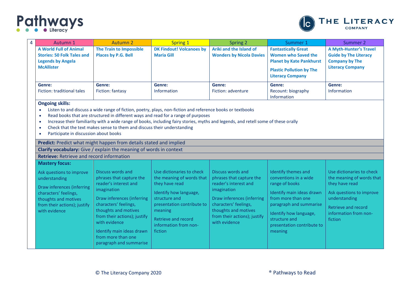

| 4 | Autumn 1                                                                                                                                                                                                                                                                                                                                                                                                                                                                                                      | <b>Autumn 2</b>                                                                                                                                                                                                                                                                                     | <b>Spring 1</b>                                                                                                                                                                                                                | <b>Spring 2</b>                                                                                                                                                                                                       | Summer 1                                                                                                                                                                                                                         | Summer 2                                                                                                                                                                         |  |  |  |
|---|---------------------------------------------------------------------------------------------------------------------------------------------------------------------------------------------------------------------------------------------------------------------------------------------------------------------------------------------------------------------------------------------------------------------------------------------------------------------------------------------------------------|-----------------------------------------------------------------------------------------------------------------------------------------------------------------------------------------------------------------------------------------------------------------------------------------------------|--------------------------------------------------------------------------------------------------------------------------------------------------------------------------------------------------------------------------------|-----------------------------------------------------------------------------------------------------------------------------------------------------------------------------------------------------------------------|----------------------------------------------------------------------------------------------------------------------------------------------------------------------------------------------------------------------------------|----------------------------------------------------------------------------------------------------------------------------------------------------------------------------------|--|--|--|
|   | <b>A World Full of Animal</b><br><b>Stories: 50 Folk Tales and</b><br><b>Legends by Angela</b><br><b>McAllister</b>                                                                                                                                                                                                                                                                                                                                                                                           | <b>DK Findout! Volcanoes by</b><br><b>The Train to Impossible</b><br><b>Places by P.G. Bell</b><br><b>Maria Gill</b>                                                                                                                                                                                |                                                                                                                                                                                                                                | Ariki and the Island of<br><b>Wonders by Nicola Davies</b>                                                                                                                                                            | <b>Fantastically Great</b><br><b>Women who Saved the</b><br><b>Planet by Kate Pankhurst</b>                                                                                                                                      | <b>A Myth-Hunter's Travel</b><br><b>Guide by The Literacy</b><br><b>Company by The</b><br><b>Literacy Company</b>                                                                |  |  |  |
|   |                                                                                                                                                                                                                                                                                                                                                                                                                                                                                                               |                                                                                                                                                                                                                                                                                                     |                                                                                                                                                                                                                                |                                                                                                                                                                                                                       | <b>Plastic Pollution by The</b><br><b>Literacy Company</b>                                                                                                                                                                       |                                                                                                                                                                                  |  |  |  |
|   | Genre:                                                                                                                                                                                                                                                                                                                                                                                                                                                                                                        | Genre:                                                                                                                                                                                                                                                                                              | Genre:                                                                                                                                                                                                                         | Genre:                                                                                                                                                                                                                | Genre:                                                                                                                                                                                                                           | Genre:                                                                                                                                                                           |  |  |  |
|   | Fiction: traditional tales                                                                                                                                                                                                                                                                                                                                                                                                                                                                                    | Fiction: fantasy                                                                                                                                                                                                                                                                                    | Information                                                                                                                                                                                                                    | Fiction: adventure                                                                                                                                                                                                    | Recount: biography<br>Information                                                                                                                                                                                                | Information                                                                                                                                                                      |  |  |  |
|   | <b>Ongoing skills:</b>                                                                                                                                                                                                                                                                                                                                                                                                                                                                                        |                                                                                                                                                                                                                                                                                                     |                                                                                                                                                                                                                                |                                                                                                                                                                                                                       |                                                                                                                                                                                                                                  |                                                                                                                                                                                  |  |  |  |
|   | Listen to and discuss a wide range of fiction, poetry, plays, non-fiction and reference books or textbooks<br>Read books that are structured in different ways and read for a range of purposes<br>$\bullet$<br>Increase their familiarity with a wide range of books, including fairy stories, myths and legends, and retell some of these orally<br>$\bullet$<br>Check that the text makes sense to them and discuss their understanding<br>$\bullet$<br>Participate in discussion about books<br>$\bullet$ |                                                                                                                                                                                                                                                                                                     |                                                                                                                                                                                                                                |                                                                                                                                                                                                                       |                                                                                                                                                                                                                                  |                                                                                                                                                                                  |  |  |  |
|   |                                                                                                                                                                                                                                                                                                                                                                                                                                                                                                               | Predict: Predict what might happen from details stated and implied                                                                                                                                                                                                                                  |                                                                                                                                                                                                                                |                                                                                                                                                                                                                       |                                                                                                                                                                                                                                  |                                                                                                                                                                                  |  |  |  |
|   |                                                                                                                                                                                                                                                                                                                                                                                                                                                                                                               | Clarify vocabulary: Give / explain the meaning of words in context                                                                                                                                                                                                                                  |                                                                                                                                                                                                                                |                                                                                                                                                                                                                       |                                                                                                                                                                                                                                  |                                                                                                                                                                                  |  |  |  |
|   | <b>Retrieve: Retrieve and record information</b>                                                                                                                                                                                                                                                                                                                                                                                                                                                              |                                                                                                                                                                                                                                                                                                     |                                                                                                                                                                                                                                |                                                                                                                                                                                                                       |                                                                                                                                                                                                                                  |                                                                                                                                                                                  |  |  |  |
|   | <b>Mastery focus:</b>                                                                                                                                                                                                                                                                                                                                                                                                                                                                                         |                                                                                                                                                                                                                                                                                                     |                                                                                                                                                                                                                                |                                                                                                                                                                                                                       |                                                                                                                                                                                                                                  |                                                                                                                                                                                  |  |  |  |
|   | Ask questions to improve<br>understanding<br>Draw inferences (inferring<br>characters' feelings,<br>thoughts and motives<br>from their actions); justify<br>with evidence                                                                                                                                                                                                                                                                                                                                     | Discuss words and<br>phrases that capture the<br>reader's interest and<br>imagination<br>Draw inferences (inferring<br>characters' feelings,<br>thoughts and motives<br>from their actions); justify<br>with evidence<br>Identify main ideas drawn<br>from more than one<br>paragraph and summarise | Use dictionaries to check<br>the meaning of words that<br>they have read<br>Identify how language,<br>structure and<br>presentation contribute to<br>meaning<br><b>Retrieve and record</b><br>information from non-<br>fiction | Discuss words and<br>phrases that capture the<br>reader's interest and<br>imagination<br>Draw inferences (inferring<br>characters' feelings,<br>thoughts and motives<br>from their actions); justify<br>with evidence | Identify themes and<br>conventions in a wide<br>range of books<br>Identify main ideas drawn<br>from more than one<br>paragraph and summarise<br>Identify how language,<br>structure and<br>presentation contribute to<br>meaning | Use dictionaries to check<br>the meaning of words that<br>they have read<br>Ask questions to improve<br>understanding<br>Retrieve and record<br>information from non-<br>fiction |  |  |  |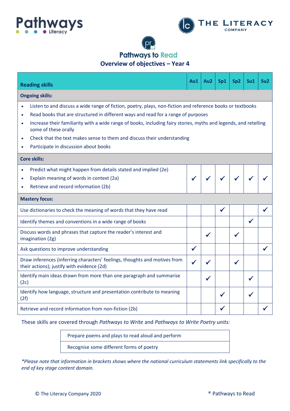





**Overview of objectives – Year 4**

| <b>Reading skills</b>                                                                                                                                 | Au1          | Au <sub>2</sub> | Sp1 | Sp <sub>2</sub> | Su <sub>1</sub> | Su <sub>2</sub> |  |  |
|-------------------------------------------------------------------------------------------------------------------------------------------------------|--------------|-----------------|-----|-----------------|-----------------|-----------------|--|--|
| <b>Ongoing skills:</b>                                                                                                                                |              |                 |     |                 |                 |                 |  |  |
| Listen to and discuss a wide range of fiction, poetry, plays, non-fiction and reference books or textbooks<br>$\bullet$                               |              |                 |     |                 |                 |                 |  |  |
| Read books that are structured in different ways and read for a range of purposes<br>$\bullet$                                                        |              |                 |     |                 |                 |                 |  |  |
| Increase their familiarity with a wide range of books, including fairy stories, myths and legends, and retelling<br>$\bullet$<br>some of these orally |              |                 |     |                 |                 |                 |  |  |
| Check that the text makes sense to them and discuss their understanding<br>$\bullet$                                                                  |              |                 |     |                 |                 |                 |  |  |
| Participate in discussion about books<br>۰                                                                                                            |              |                 |     |                 |                 |                 |  |  |
| <b>Core skills:</b>                                                                                                                                   |              |                 |     |                 |                 |                 |  |  |
| Predict what might happen from details stated and implied (2e)<br>$\bullet$                                                                           |              |                 |     |                 |                 |                 |  |  |
| Explain meaning of words in context (2a)<br>$\bullet$                                                                                                 |              |                 |     |                 |                 |                 |  |  |
| Retrieve and record information (2b)                                                                                                                  |              |                 |     |                 |                 |                 |  |  |
| <b>Mastery focus:</b>                                                                                                                                 |              |                 |     |                 |                 |                 |  |  |
| Use dictionaries to check the meaning of words that they have read                                                                                    |              |                 | ✔   |                 |                 |                 |  |  |
| Identify themes and conventions in a wide range of books                                                                                              |              |                 |     |                 | $\checkmark$    |                 |  |  |
| Discuss words and phrases that capture the reader's interest and<br>imagination (2g)                                                                  |              | $\checkmark$    |     | $\checkmark$    |                 |                 |  |  |
| Ask questions to improve understanding                                                                                                                | $\checkmark$ |                 |     |                 |                 |                 |  |  |
| Draw inferences (inferring characters' feelings, thoughts and motives from<br>their actions); justify with evidence (2d)                              |              |                 |     |                 |                 |                 |  |  |
| Identify main ideas drawn from more than one paragraph and summarise<br>(2c)                                                                          |              |                 |     |                 |                 |                 |  |  |
| Identify how language, structure and presentation contribute to meaning<br>(2f)                                                                       |              |                 |     |                 |                 |                 |  |  |
| Retrieve and record information from non-fiction (2b)                                                                                                 |              |                 |     |                 |                 |                 |  |  |

These skills are covered through *Pathways to Write* and *Pathways to Write Poetry units:*

Prepare poems and plays to read aloud and perform Recognise some different forms of poetry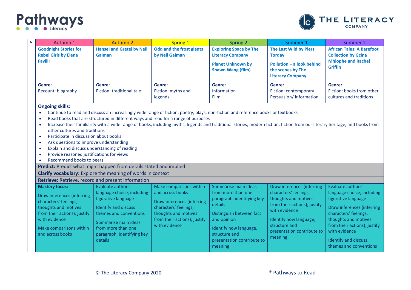

| 5 | Autumn 1                                                                                                                                                                                                                                                                                                                                                                                                                                                                                                                                                                                                                                                                                                                       | <b>Autumn 2</b>                                                                                                                                                                                                        | <b>Spring 1</b>                                                                                                                                                             | <b>Spring 2</b>                                                                                                                                                                                                    | Summer 1                                                                                                                                                                                                         | Summer 2                                                                                                                                                                                                                                                        |  |  |  |  |
|---|--------------------------------------------------------------------------------------------------------------------------------------------------------------------------------------------------------------------------------------------------------------------------------------------------------------------------------------------------------------------------------------------------------------------------------------------------------------------------------------------------------------------------------------------------------------------------------------------------------------------------------------------------------------------------------------------------------------------------------|------------------------------------------------------------------------------------------------------------------------------------------------------------------------------------------------------------------------|-----------------------------------------------------------------------------------------------------------------------------------------------------------------------------|--------------------------------------------------------------------------------------------------------------------------------------------------------------------------------------------------------------------|------------------------------------------------------------------------------------------------------------------------------------------------------------------------------------------------------------------|-----------------------------------------------------------------------------------------------------------------------------------------------------------------------------------------------------------------------------------------------------------------|--|--|--|--|
|   | <b>Goodnight Stories for</b><br><b>Rebel Girls by Elena</b><br>Favilli                                                                                                                                                                                                                                                                                                                                                                                                                                                                                                                                                                                                                                                         | <b>Hansel and Gretel by Neil</b><br>Gaiman                                                                                                                                                                             | <b>Odd and the frost giants</b><br>by Neil Gaiman                                                                                                                           | <b>Exploring Space by The</b><br><b>Literacy Company</b><br><b>Planet Unknown by</b><br><b>Shawn Wang (film)</b>                                                                                                   | The Last Wild by Piers<br><b>Torday</b><br>Pollution - a look behind<br>the scenes by The<br><b>Literacy Company</b>                                                                                             |                                                                                                                                                                                                                                                                 |  |  |  |  |
|   | Genre:<br>Recount: biography                                                                                                                                                                                                                                                                                                                                                                                                                                                                                                                                                                                                                                                                                                   | Genre:<br>Fiction: traditional tale                                                                                                                                                                                    | Genre:<br>Fiction: myths and<br>legends                                                                                                                                     | Genre:<br>Information<br>Film                                                                                                                                                                                      | Genre:<br>Fiction: contemporary<br>Persuasion/ Information                                                                                                                                                       | Genre:<br>Fiction: books from other<br>cultures and traditions                                                                                                                                                                                                  |  |  |  |  |
|   | Continue to read and discuss an increasingly wide range of fiction, poetry, plays, non-fiction and reference books or textbooks<br>$\bullet$<br>Read books that are structured in different ways and read for a range of purposes<br>$\bullet$<br>Increase their familiarity with a wide range of books, including myths, legends and traditional stories, modern fiction, fiction from our literary heritage, and books from<br>$\bullet$<br>other cultures and traditions<br>Participate in discussion about books<br>$\bullet$<br>Ask questions to improve understanding<br>$\bullet$<br>Explain and discuss understanding of reading<br>$\bullet$<br>Provide reasoned justifications for views<br>Recommend books to peers |                                                                                                                                                                                                                        |                                                                                                                                                                             |                                                                                                                                                                                                                    |                                                                                                                                                                                                                  |                                                                                                                                                                                                                                                                 |  |  |  |  |
|   |                                                                                                                                                                                                                                                                                                                                                                                                                                                                                                                                                                                                                                                                                                                                | Predict: Predict what might happen from details stated and implied                                                                                                                                                     |                                                                                                                                                                             |                                                                                                                                                                                                                    |                                                                                                                                                                                                                  |                                                                                                                                                                                                                                                                 |  |  |  |  |
|   |                                                                                                                                                                                                                                                                                                                                                                                                                                                                                                                                                                                                                                                                                                                                | Clarify vocabulary: Explore the meaning of words in context                                                                                                                                                            |                                                                                                                                                                             |                                                                                                                                                                                                                    |                                                                                                                                                                                                                  |                                                                                                                                                                                                                                                                 |  |  |  |  |
|   |                                                                                                                                                                                                                                                                                                                                                                                                                                                                                                                                                                                                                                                                                                                                | Retrieve: Retrieve, record and present information                                                                                                                                                                     |                                                                                                                                                                             |                                                                                                                                                                                                                    |                                                                                                                                                                                                                  |                                                                                                                                                                                                                                                                 |  |  |  |  |
|   | <b>Mastery focus:</b><br>Draw inferences (inferring<br>characters' feelings,<br>thoughts and motives<br>from their actions); justify<br>with evidence<br>Make comparisons within<br>and across books                                                                                                                                                                                                                                                                                                                                                                                                                                                                                                                           | Evaluate authors'<br>language choice, including<br>figurative language<br><b>Identify and discuss</b><br>themes and conventions<br>Summarise main ideas<br>from more than one<br>paragraph, identifying key<br>details | Make comparisons within<br>and across books<br>Draw inferences (inferring<br>characters' feelings,<br>thoughts and motives<br>from their actions); justify<br>with evidence | Summarise main ideas<br>from more than one<br>paragraph, identifying key<br>details<br>Distinguish between fact<br>and opinion<br>Identify how language,<br>structure and<br>presentation contribute to<br>meaning | Draw inferences (inferring<br>characters' feelings,<br>thoughts and motives<br>from their actions); justify<br>with evidence<br>Identify how language,<br>structure and<br>presentation contribute to<br>meaning | Evaluate authors'<br>language choice, including<br>figurative language<br>Draw inferences (inferring<br>characters' feelings,<br>thoughts and motives<br>from their actions); justify<br>with evidence<br><b>Identify and discuss</b><br>themes and conventions |  |  |  |  |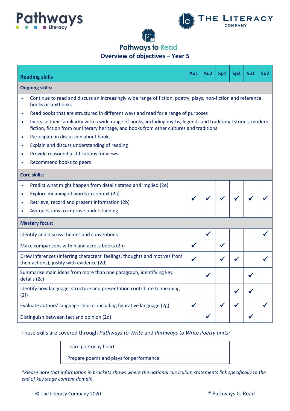



**Pathways to Read** 

**Overview of objectives – Year 5**

|           | <b>Reading skills</b>                                                                                                                                                                                        | Au1          | Au2          | Sp1          | Sp2 | Su1          | Su <sub>2</sub> |  |  |
|-----------|--------------------------------------------------------------------------------------------------------------------------------------------------------------------------------------------------------------|--------------|--------------|--------------|-----|--------------|-----------------|--|--|
|           | <b>Ongoing skills:</b>                                                                                                                                                                                       |              |              |              |     |              |                 |  |  |
| $\bullet$ | Continue to read and discuss an increasingly wide range of fiction, poetry, plays, non-fiction and reference<br>books or textbooks                                                                           |              |              |              |     |              |                 |  |  |
| $\bullet$ | Read books that are structured in different ways and read for a range of purposes                                                                                                                            |              |              |              |     |              |                 |  |  |
| $\bullet$ | Increase their familiarity with a wide range of books, including myths, legends and traditional stories, modern<br>fiction, fiction from our literary heritage, and books from other cultures and traditions |              |              |              |     |              |                 |  |  |
| $\bullet$ | Participate in discussion about books                                                                                                                                                                        |              |              |              |     |              |                 |  |  |
| $\bullet$ | Explain and discuss understanding of reading                                                                                                                                                                 |              |              |              |     |              |                 |  |  |
| $\bullet$ | Provide reasoned justifications for views                                                                                                                                                                    |              |              |              |     |              |                 |  |  |
| $\bullet$ | Recommend books to peers                                                                                                                                                                                     |              |              |              |     |              |                 |  |  |
|           | <b>Core skills:</b>                                                                                                                                                                                          |              |              |              |     |              |                 |  |  |
| $\bullet$ | Predict what might happen from details stated and implied (2e)                                                                                                                                               |              |              |              |     |              |                 |  |  |
| $\bullet$ | Explore meaning of words in context (2a)                                                                                                                                                                     |              |              | $\sqrt{2}$   |     |              |                 |  |  |
| $\bullet$ | Retrieve, record and present information (2b)                                                                                                                                                                |              |              |              |     |              |                 |  |  |
| $\bullet$ | Ask questions to improve understanding                                                                                                                                                                       |              |              |              |     |              |                 |  |  |
|           | <b>Mastery focus:</b>                                                                                                                                                                                        |              |              |              |     |              |                 |  |  |
|           | Identify and discuss themes and conventions                                                                                                                                                                  |              | $\checkmark$ |              |     |              |                 |  |  |
|           | Make comparisons within and across books (2h)                                                                                                                                                                |              |              | $\checkmark$ |     |              |                 |  |  |
|           | Draw inferences (inferring characters' feelings, thoughts and motives from<br>their actions); justify with evidence (2d)                                                                                     | ✔            |              |              |     |              |                 |  |  |
|           | Summarise main ideas from more than one paragraph, identifying key<br>details (2c)                                                                                                                           |              |              |              |     |              |                 |  |  |
| (2f)      | Identify how language, structure and presentation contribute to meaning                                                                                                                                      |              |              |              |     |              |                 |  |  |
|           | Evaluate authors' language choice, including figurative language (2g)                                                                                                                                        | $\checkmark$ |              | √            |     |              |                 |  |  |
|           | Distinguish between fact and opinion (2d)                                                                                                                                                                    |              | $\checkmark$ |              |     | $\checkmark$ |                 |  |  |

These skills are covered through *Pathways to Write* and *Pathways to Write Poetry units:*

Learn poetry by heart Prepare poems and plays for performance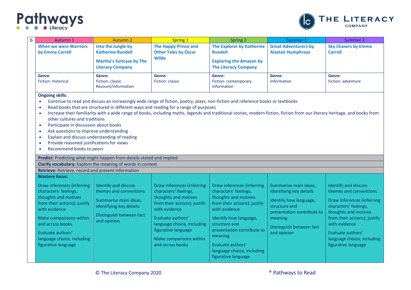

| 6 | Autumn 1                                                                                                                                                                                                                                                                                                                                                                                                                                                                                                                                                                                                                                                                                                                                                                 | <b>Autumn 2</b>                                                                                                                                      | Spring 1                                                                                                                                                                                                                                              | Spring 2                                                                                                                                                                                                                                                                                   | Summer 1                                                                                                                                                                        | Summer 2                                                                                                                                                                                                                                                        |  |  |  |  |
|---|--------------------------------------------------------------------------------------------------------------------------------------------------------------------------------------------------------------------------------------------------------------------------------------------------------------------------------------------------------------------------------------------------------------------------------------------------------------------------------------------------------------------------------------------------------------------------------------------------------------------------------------------------------------------------------------------------------------------------------------------------------------------------|------------------------------------------------------------------------------------------------------------------------------------------------------|-------------------------------------------------------------------------------------------------------------------------------------------------------------------------------------------------------------------------------------------------------|--------------------------------------------------------------------------------------------------------------------------------------------------------------------------------------------------------------------------------------------------------------------------------------------|---------------------------------------------------------------------------------------------------------------------------------------------------------------------------------|-----------------------------------------------------------------------------------------------------------------------------------------------------------------------------------------------------------------------------------------------------------------|--|--|--|--|
|   | <b>When we were Warriors</b><br>by Emma Carroll                                                                                                                                                                                                                                                                                                                                                                                                                                                                                                                                                                                                                                                                                                                          | Into the Jungle by<br><b>Katherine Rundell</b><br><b>Martha's Suitcase by The</b><br><b>Literacy Company</b>                                         | <b>The Happy Prince and</b><br><b>Other Tales by Oscar</b><br><b>Wilde</b>                                                                                                                                                                            | <b>The Explorer by Katherine</b><br><b>Rundell</b><br><b>Exploring the Amazon by</b><br><b>The Literacy Company</b>                                                                                                                                                                        | <b>Great Adventurers by</b><br><b>Alastair Humphreys</b>                                                                                                                        | <b>Sky Chasers by Emma</b><br><b>Carroll</b>                                                                                                                                                                                                                    |  |  |  |  |
|   | Genre:<br>Fiction: historical                                                                                                                                                                                                                                                                                                                                                                                                                                                                                                                                                                                                                                                                                                                                            | Genre:<br>Fiction: classic<br>Recount/Information                                                                                                    | Genre:<br>Fiction: classic                                                                                                                                                                                                                            | Genre:<br>Fiction: contemporary<br>Information                                                                                                                                                                                                                                             | Genre:<br>Information                                                                                                                                                           | Genre:<br>Fiction: adventure                                                                                                                                                                                                                                    |  |  |  |  |
|   | <b>Ongoing skills:</b><br>Continue to read and discuss an increasingly wide range of fiction, poetry, plays, non-fiction and reference books or textbooks<br>Read books that are structured in different ways and reading for a range of purposes<br>$\bullet$<br>Increase their familiarity with a wide range of books, including myths, legends and traditional stories, modern fiction, fiction from our literary heritage, and books from<br>$\bullet$<br>other cultures and traditions<br>Participate in discussion about books<br>$\bullet$<br>Ask questions to improve understanding<br>$\bullet$<br>Explain and discuss understanding of reading<br>$\bullet$<br>Provide reasoned justifications for views<br>$\bullet$<br>Recommend books to peers<br>$\bullet$ |                                                                                                                                                      |                                                                                                                                                                                                                                                       |                                                                                                                                                                                                                                                                                            |                                                                                                                                                                                 |                                                                                                                                                                                                                                                                 |  |  |  |  |
|   |                                                                                                                                                                                                                                                                                                                                                                                                                                                                                                                                                                                                                                                                                                                                                                          | Predict: Predicting what might happen from details stated and implied                                                                                |                                                                                                                                                                                                                                                       |                                                                                                                                                                                                                                                                                            |                                                                                                                                                                                 |                                                                                                                                                                                                                                                                 |  |  |  |  |
|   |                                                                                                                                                                                                                                                                                                                                                                                                                                                                                                                                                                                                                                                                                                                                                                          | Clarify vocabulary: Explore the meaning of words in context                                                                                          |                                                                                                                                                                                                                                                       |                                                                                                                                                                                                                                                                                            |                                                                                                                                                                                 |                                                                                                                                                                                                                                                                 |  |  |  |  |
|   | Retrieve: Retrieve, record and present information                                                                                                                                                                                                                                                                                                                                                                                                                                                                                                                                                                                                                                                                                                                       |                                                                                                                                                      |                                                                                                                                                                                                                                                       |                                                                                                                                                                                                                                                                                            |                                                                                                                                                                                 |                                                                                                                                                                                                                                                                 |  |  |  |  |
|   | <b>Mastery focus:</b><br>Draw inferences (inferring<br>characters' feelings,<br>thoughts and motives<br>from their actions); justify<br>with evidence<br>Make comparisons within<br>and across books<br>Evaluate authors'<br>language choice, including<br>figurative language                                                                                                                                                                                                                                                                                                                                                                                                                                                                                           | <b>Identify and discuss</b><br>themes and conventions<br>Summarise main ideas,<br>identifying key details<br>Distinguish between fact<br>and opinion | Draw inferences (inferring<br>characters' feelings,<br>thoughts and motives<br>from their actions); justify<br>with evidence<br>Evaluate authors'<br>language choice, including<br>figurative language<br>Make comparisons within<br>and across books | Draw inferences (inferring<br>characters' feelings,<br>thoughts and motives<br>from their actions); justify<br>with evidence<br>Identify how language,<br>structure and<br>presentation contribute to<br>meaning<br>Evaluate authors'<br>language choice, including<br>figurative language | Summarise main ideas,<br>identifying key details<br>Identify how language,<br>structure and<br>presentation contribute to<br>meaning<br>Distinguish between fact<br>and opinion | <b>Identify and discuss</b><br>themes and conventions<br>Draw inferences (inferring<br>characters' feelings,<br>thoughts and motives<br>from their actions); justify<br>with evidence<br>Evaluate authors'<br>language choice, including<br>figurative language |  |  |  |  |